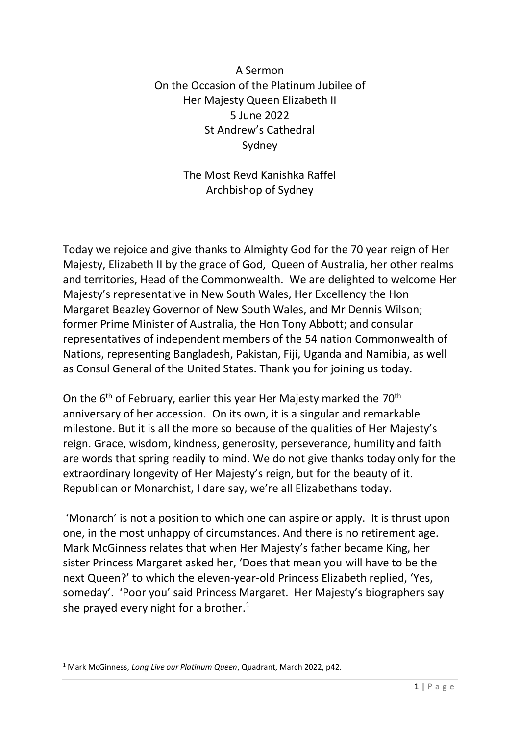A Sermon On the Occasion of the Platinum Jubilee of Her Majesty Queen Elizabeth II 5 June 2022 St Andrew's Cathedral Sydney

> The Most Revd Kanishka Raffel Archbishop of Sydney

Today we rejoice and give thanks to Almighty God for the 70 year reign of Her Majesty, Elizabeth II by the grace of God, Queen of Australia, her other realms and territories, Head of the Commonwealth. We are delighted to welcome Her Majesty's representative in New South Wales, Her Excellency the Hon Margaret Beazley Governor of New South Wales, and Mr Dennis Wilson; former Prime Minister of Australia, the Hon Tony Abbott; and consular representatives of independent members of the 54 nation Commonwealth of Nations, representing Bangladesh, Pakistan, Fiji, Uganda and Namibia, as well as Consul General of the United States. Thank you for joining us today.

On the 6<sup>th</sup> of February, earlier this year Her Majesty marked the 70<sup>th</sup> anniversary of her accession. On its own, it is a singular and remarkable milestone. But it is all the more so because of the qualities of Her Majesty's reign. Grace, wisdom, kindness, generosity, perseverance, humility and faith are words that spring readily to mind. We do not give thanks today only for the extraordinary longevity of Her Majesty's reign, but for the beauty of it. Republican or Monarchist, I dare say, we're all Elizabethans today.

'Monarch' is not a position to which one can aspire or apply. It is thrust upon one, in the most unhappy of circumstances. And there is no retirement age. Mark McGinness relates that when Her Majesty's father became King, her sister Princess Margaret asked her, 'Does that mean you will have to be the next Queen?' to which the eleven-year-old Princess Elizabeth replied, 'Yes, someday'. 'Poor you' said Princess Margaret. Her Majesty's biographers say she prayed every night for a brother.<sup>1</sup>

<sup>1</sup> Mark McGinness, *Long Live our Platinum Queen*, Quadrant, March 2022, p42.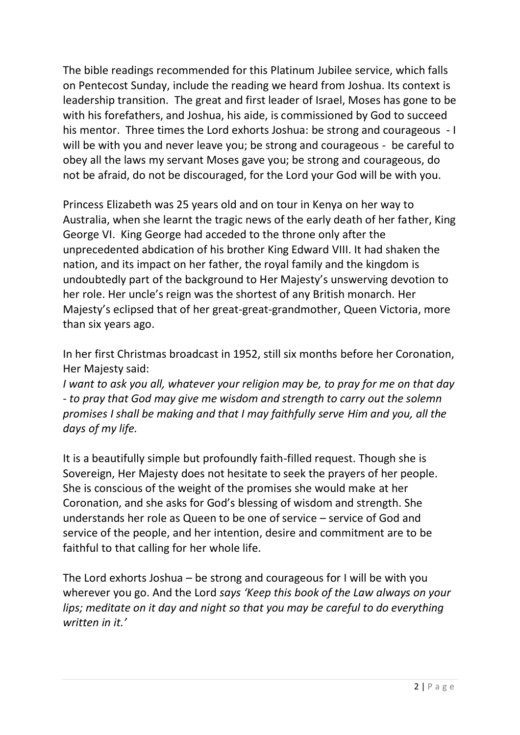The bible readings recommended for this Platinum Jubilee service, which falls on Pentecost Sunday, include the reading we heard from Joshua. Its context is leadership transition. The great and first leader of Israel, Moses has gone to be with his forefathers, and Joshua, his aide, is commissioned by God to succeed his mentor. Three times the Lord exhorts Joshua: be strong and courageous - I will be with you and never leave you; be strong and courageous - be careful to obey all the laws my servant Moses gave you; be strong and courageous, do not be afraid, do not be discouraged, for the Lord your God will be with you.

Princess Elizabeth was 25 years old and on tour in Kenya on her way to Australia, when she learnt the tragic news of the early death of her father, King George VI. King George had acceded to the throne only after the unprecedented abdication of his brother King Edward VIII. It had shaken the nation, and its impact on her father, the royal family and the kingdom is undoubtedly part of the background to Her Majesty's unswerving devotion to her role. Her uncle's reign was the shortest of any British monarch. Her Majesty's eclipsed that of her great-great-grandmother, Queen Victoria, more than six years ago.

In her first Christmas broadcast in 1952, still six months before her Coronation, Her Majesty said:

*I want to ask you all, whatever your religion may be, to pray for me on that day - to pray that God may give me wisdom and strength to carry out the solemn promises I shall be making and that I may faithfully serve Him and you, all the days of my life.* 

It is a beautifully simple but profoundly faith-filled request. Though she is Sovereign, Her Majesty does not hesitate to seek the prayers of her people. She is conscious of the weight of the promises she would make at her Coronation, and she asks for God's blessing of wisdom and strength. She understands her role as Queen to be one of service – service of God and service of the people, and her intention, desire and commitment are to be faithful to that calling for her whole life.

The Lord exhorts Joshua – be strong and courageous for I will be with you wherever you go. And the Lord *says 'Keep this book of the Law always on your lips; meditate on it day and night so that you may be careful to do everything written in it.'*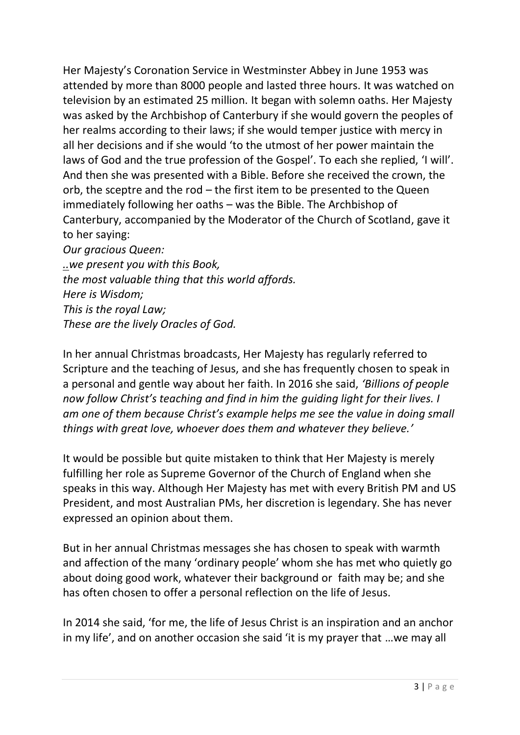Her Majesty's Coronation Service in Westminster Abbey in June 1953 was attended by more than 8000 people and lasted three hours. It was watched on television by an estimated 25 million. It began with solemn oaths. Her Majesty was asked by the Archbishop of Canterbury if she would govern the peoples of her realms according to their laws; if she would temper justice with mercy in all her decisions and if she would 'to the utmost of her power maintain the laws of God and the true profession of the Gospel'. To each she replied, 'I will'. And then she was presented with a Bible. Before she received the crown, the orb, the sceptre and the rod – the first item to be presented to the Queen immediately following her oaths – was the Bible. The Archbishop of Canterbury, accompanied by the Moderator of the Church of Scotland, gave it to her saying: *Our gracious Queen:*

*..we present you with this Book, the most valuable thing that this world affords. Here is Wisdom; This is the royal Law; These are the lively Oracles of God.*

In her annual Christmas broadcasts, Her Majesty has regularly referred to Scripture and the teaching of Jesus, and she has frequently chosen to speak in a personal and gentle way about her faith. In 2016 she said, *'Billions of people now follow Christ's teaching and find in him the [guiding light](https://www.biblegateway.com/passage/?search=John+8%3A12&version=NIVUK;NKJV;NRSV) for their lives. I am one of them because Christ's example helps me see the value in doing small things with great love, whoever does them and whatever they believe.'*

It would be possible but quite mistaken to think that Her Majesty is merely fulfilling her role as Supreme Governor of the Church of England when she speaks in this way. Although Her Majesty has met with every British PM and US President, and most Australian PMs, her discretion is legendary. She has never expressed an opinion about them.

But in her annual Christmas messages she has chosen to speak with warmth and affection of the many 'ordinary people' whom she has met who quietly go about doing good work, whatever their background or faith may be; and she has often chosen to offer a personal reflection on the life of Jesus.

In 2014 she said, 'for me, the life of Jesus Christ is an inspiration and an anchor in my life', and on another occasion she said 'it is my prayer that …we may all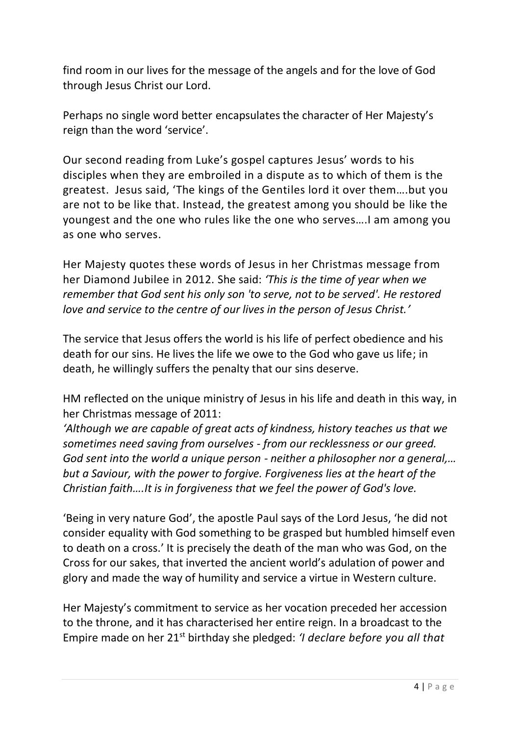find room in our lives for the message of the angels and for the love of God through Jesus Christ our Lord.

Perhaps no single word better encapsulates the character of Her Majesty's reign than the word 'service'.

Our second reading from Luke's gospel captures Jesus' words to his disciples when they are embroiled in a dispute as to which of them is the greatest. Jesus said, 'The kings of the Gentiles lord it over them….but you are not to be like that. Instead, the greatest among you should be like the youngest and the one who rules like the one who serves….I am among you as one who serves.

Her Majesty quotes these words of Jesus in her Christmas message from her Diamond Jubilee in 2012. She said: *'This is the time of year when we remember that God sent his only son 'to serve, not to be served'. He restored love and service to the centre of our lives in the person of Jesus Christ.'*

The service that Jesus offers the world is his life of perfect obedience and his death for our sins. He lives the life we owe to the God who gave us life; in death, he willingly suffers the penalty that our sins deserve.

HM reflected on the unique ministry of Jesus in his life and death in this way, in her Christmas message of 2011:

*'Although we are capable of great acts of kindness, history teaches us that we sometimes need saving from ourselves - from our recklessness or our greed. God sent into the world a unique person - neither a philosopher nor a general,… but a Saviour, with the power to forgive. Forgiveness lies at the heart of the Christian faith….It is in forgiveness that we feel the power of God's love.*

'Being in very nature God', the apostle Paul says of the Lord Jesus, 'he did not consider equality with God something to be grasped but humbled himself even to death on a cross.' It is precisely the death of the man who was God, on the Cross for our sakes, that inverted the ancient world's adulation of power and glory and made the way of humility and service a virtue in Western culture.

Her Majesty's commitment to service as her vocation preceded her accession to the throne, and it has characterised her entire reign. In a broadcast to the Empire made on her 21st birthday she pledged: *'I declare before you all that*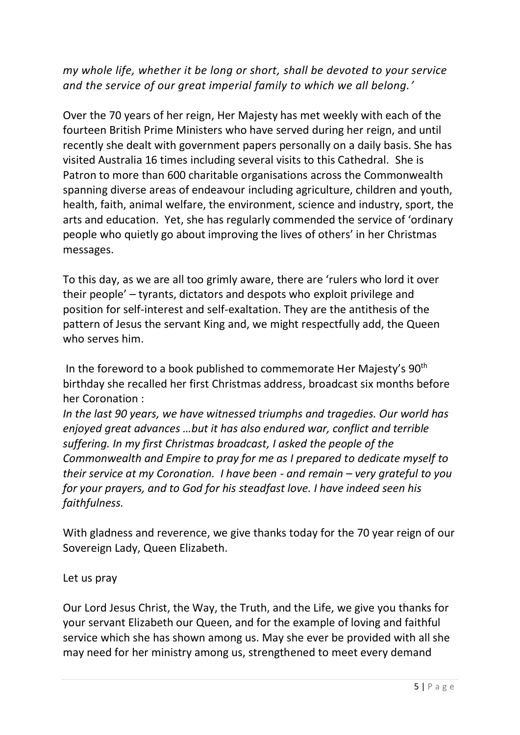## *my whole life, whether it be long or short, shall be devoted to your service and the service of our great imperial family to which we all belong.'*

Over the 70 years of her reign, Her Majesty has met weekly with each of the fourteen British Prime Ministers who have served during her reign, and until recently she dealt with government papers personally on a daily basis. She has visited Australia 16 times including several visits to this Cathedral. She is Patron to more than 600 charitable organisations across the Commonwealth spanning diverse areas of endeavour including agriculture, children and youth, health, faith, animal welfare, the environment, science and industry, sport, the arts and education. Yet, she has regularly commended the service of 'ordinary people who quietly go about improving the lives of others' in her Christmas messages.

To this day, as we are all too grimly aware, there are 'rulers who lord it over their people' – tyrants, dictators and despots who exploit privilege and position for self-interest and self-exaltation. They are the antithesis of the pattern of Jesus the servant King and, we might respectfully add, the Queen who serves him.

In the foreword to a book published to commemorate Her Majesty's  $90<sup>th</sup>$ birthday she recalled her first Christmas address, broadcast six months before her Coronation :

*In the last 90 years, we have witnessed triumphs and tragedies. Our world has enjoyed great advances …but it has also endured war, conflict and terrible suffering. In my first Christmas broadcast, I asked the people of the Commonwealth and Empire to pray for me as I prepared to dedicate myself to their service at my Coronation. I have been - and remain – very grateful to you for your prayers, and to God for his steadfast love. I have indeed seen his faithfulness.* 

With gladness and reverence, we give thanks today for the 70 year reign of our Sovereign Lady, Queen Elizabeth.

Let us pray

Our Lord Jesus Christ, the Way, the Truth, and the Life, we give you thanks for your servant Elizabeth our Queen, and for the example of loving and faithful service which she has shown among us. May she ever be provided with all she may need for her ministry among us, strengthened to meet every demand